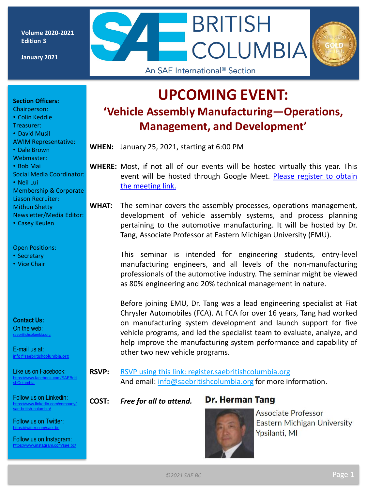**Volume 2020-2021 Edition 3**

**January 2021**

## **UPCOMING EVENT: 'Vehicle Assembly Manufacturing—Operations, Management, and Development'**

**BRITISH** 

An SAE International<sup>®</sup> Section

**COLUMBIA** 

**WHEN:** January 25, 2021, starting at 6:00 PM

**WHERE:** Most, if not all of our events will be hosted virtually this year. This event will be hosted through Google Meet. Please register to obtain the [meeting](http://register.saebritishcolumbia.org/) link.

**WHAT:** The seminar covers the assembly processes, operations management, development of vehicle assembly systems, and process planning pertaining to the automotive manufacturing. It will be hosted by Dr. Tang, Associate Professor at Eastern Michigan University (EMU).

> This seminar is intended for engineering students, entry-level manufacturing engineers, and all levels of the non-manufacturing professionals of the automotive industry. The seminar might be viewed as 80% engineering and 20% technical management in nature.

> Before joining EMU, Dr. Tang was a lead engineering specialist at Fiat Chrysler Automobiles (FCA). At FCA for over 16 years, Tang had worked on manufacturing system development and launch support for five vehicle programs, and led the specialist team to evaluate, analyze, and help improve the manufacturing system performance and capability of other two new vehicle programs.

**RSVP:** RSVP using this link: [register.saebritishcolumbia.org](http://register.saebritishcolumbia.org/) And email: [info@saebritishcolumbia.org](mailto:info@saebritishcolumbia.org) for more information.

**COST:** *Free for all to attend.*

#### **Dr. Herman Tang**

**Associate Professor Eastern Michigan University** Ypsilanti, MI

#### **Section Officers:**

- Chairperson: • Colin Keddie
- Treasurer:
- David Musil
- AWIM Representative:
- Dale Brown
- Webmaster: • Bob Mai
- Social Media Coordinator:
- Neil Lui
- Membership & Corporate Liason Recruiter: Mithun Shetty
- Newsletter/Media Editor:
- Casey Keulen

#### Open Positions:

- Secretary
- Vice Chair

**Contact Us:** On the web: [saebritishcolumbia.org](http://www.britishcolumbia.sae.org) 

E-mail us at: [info@saebritishcolumbia.org](mailto:info@saebritishcolumbia.org)

Like us on Facebook: [https://www.facebook.com/SAEBriti](https://www.facebook.com/SAEBritishColumbia) shColumbia

Follow us on Linkedin: [https://www.linkedin.com/company/](https://www.linkedin.com/company/sae-british-columbia/) sae-british-columbia/

Follow us on Twitter: is://twitter.com/sae\_bo

Follow us on Instagram: <https://www.instagram.com/sae.bc/>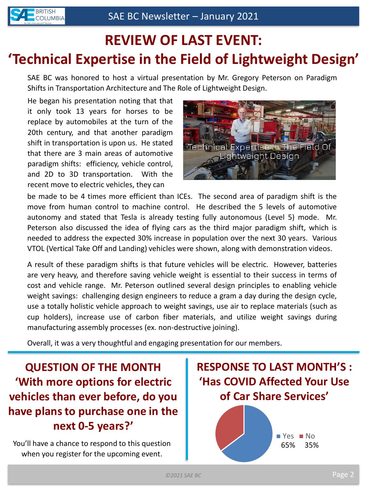# **REVIEW OF LAST EVENT: 'Technical Expertise in the Field of Lightweight Design'**

SAE BC was honored to host a virtual presentation by Mr. Gregory Peterson on Paradigm Shifts in Transportation Architecture and The Role of Lightweight Design.

He began his presentation noting that that it only took 13 years for horses to be replace by automobiles at the turn of the 20th century, and that another paradigm shift in transportation is upon us. He stated that there are 3 main areas of automotive paradigm shifts: efficiency, vehicle control, and 2D to 3D transportation. With the recent move to electric vehicles, they can



be made to be 4 times more efficient than ICEs. The second area of paradigm shift is the move from human control to machine control. He described the 5 levels of automotive autonomy and stated that Tesla is already testing fully autonomous (Level 5) mode. Mr. Peterson also discussed the idea of flying cars as the third major paradigm shift, which is needed to address the expected 30% increase in population over the next 30 years. Various VTOL (Vertical Take Off and Landing) vehicles were shown, along with demonstration videos.

A result of these paradigm shifts is that future vehicles will be electric. However, batteries are very heavy, and therefore saving vehicle weight is essential to their success in terms of cost and vehicle range. Mr. Peterson outlined several design principles to enabling vehicle weight savings: challenging design engineers to reduce a gram a day during the design cycle, use a totally holistic vehicle approach to weight savings, use air to replace materials (such as cup holders), increase use of carbon fiber materials, and utilize weight savings during manufacturing assembly processes (ex. non-destructive joining).

Overall, it was a very thoughtful and engaging presentation for our members.

**QUESTION OF THE MONTH 'With more options for electric vehicles than ever before, do you have plans to purchase one in the next 0-5 years?'**

You'll have a chance to respond to this question when you register for the upcoming event.

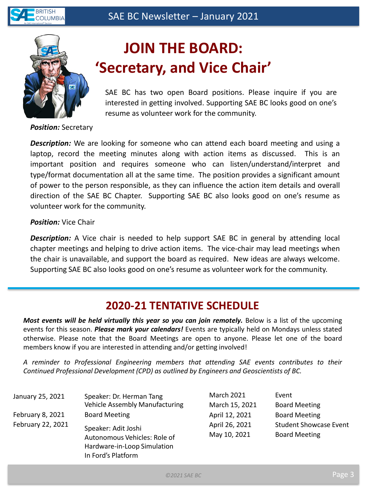



# **JOIN THE BOARD: 'Secretary, and Vice Chair'**

SAE BC has two open Board positions. Please inquire if you are interested in getting involved. Supporting SAE BC looks good on one's resume as volunteer work for the community.

*Position:* Secretary

*Description:* We are looking for someone who can attend each board meeting and using a laptop, record the meeting minutes along with action items as discussed. This is an important position and requires someone who can listen/understand/interpret and type/format documentation all at the same time. The position provides a significant amount of power to the person responsible, as they can influence the action item details and overall direction of the SAE BC Chapter. Supporting SAE BC also looks good on one's resume as volunteer work for the community.

#### *Position:* Vice Chair

*Description:* A Vice chair is needed to help support SAE BC in general by attending local chapter meetings and helping to drive action items. The vice-chair may lead meetings when the chair is unavailable, and support the board as required. New ideas are always welcome. Supporting SAE BC also looks good on one's resume as volunteer work for the community.

## **2020-21 TENTATIVE SCHEDULE**

*Most events will be held virtually this year so you can join remotely.* Below is a list of the upcoming events for this season. *Please mark your calendars!* Events are typically held on Mondays unless stated otherwise. Please note that the Board Meetings are open to anyone. Please let one of the board members know if you are interested in attending and/or getting involved!

*A reminder to Professional Engineering members that attending SAE events contributes to their Continued Professional Development (CPD) as outlined by Engineers and Geoscientists of BC.*

| January 25, 2021  | Speaker: Dr. Herman Tang<br><b>Vehicle Assembly Manufacturing</b> | <b>March 2021</b><br>March 15, 2021 | Event<br><b>Board Meeting</b> |
|-------------------|-------------------------------------------------------------------|-------------------------------------|-------------------------------|
|                   |                                                                   |                                     |                               |
| February 8, 2021  | <b>Board Meeting</b>                                              | April 12, 2021                      | <b>Board Meeting</b>          |
| February 22, 2021 | Speaker: Adit Joshi<br>Autonomous Vehicles: Role of               | April 26, 2021                      | <b>Student Showcase Event</b> |
|                   |                                                                   | May 10, 2021                        | <b>Board Meeting</b>          |
|                   | Hardware-in-Loop Simulation                                       |                                     |                               |
|                   | In Ford's Platform                                                |                                     |                               |